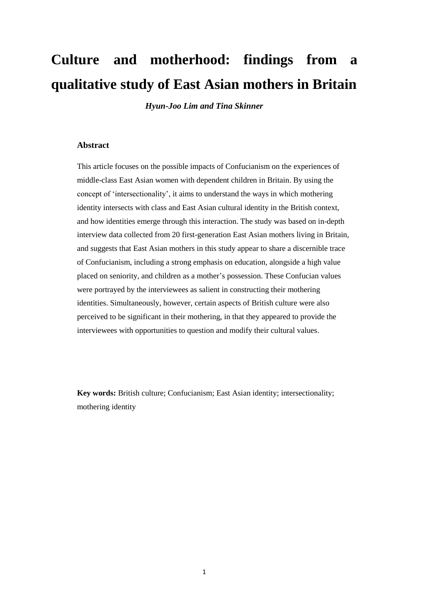# **Culture and motherhood: findings from a qualitative study of East Asian mothers in Britain**

*Hyun-Joo Lim and Tina Skinner*

#### **Abstract**

This article focuses on the possible impacts of Confucianism on the experiences of middle-class East Asian women with dependent children in Britain. By using the concept of 'intersectionality', it aims to understand the ways in which mothering identity intersects with class and East Asian cultural identity in the British context, and how identities emerge through this interaction. The study was based on in-depth interview data collected from 20 first-generation East Asian mothers living in Britain, and suggests that East Asian mothers in this study appear to share a discernible trace of Confucianism, including a strong emphasis on education, alongside a high value placed on seniority, and children as a mother's possession. These Confucian values were portrayed by the interviewees as salient in constructing their mothering identities. Simultaneously, however, certain aspects of British culture were also perceived to be significant in their mothering, in that they appeared to provide the interviewees with opportunities to question and modify their cultural values.

**Key words:** British culture; Confucianism; East Asian identity; intersectionality; mothering identity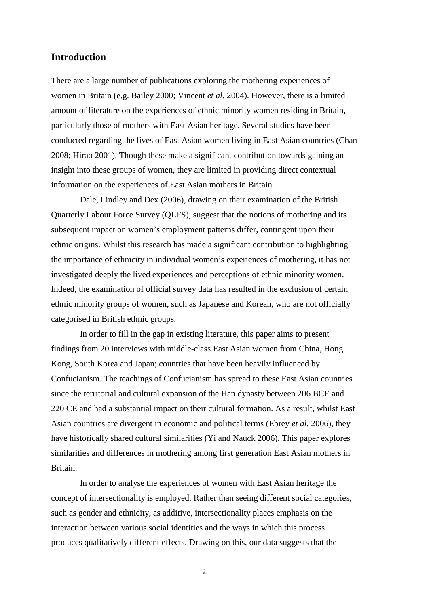## **Introduction**

There are a large number of publications exploring the mothering experiences of women in Britain (e.g. Bailey 2000; Vincent *et al*. 2004). However, there is a limited amount of literature on the experiences of ethnic minority women residing in Britain, particularly those of mothers with East Asian heritage. Several studies have been conducted regarding the lives of East Asian women living in East Asian countries (Chan 2008; Hirao 2001). Though these make a significant contribution towards gaining an insight into these groups of women, they are limited in providing direct contextual information on the experiences of East Asian mothers in Britain.

Dale, Lindley and Dex (2006), drawing on their examination of the British Quarterly Labour Force Survey (QLFS), suggest that the notions of mothering and its subsequent impact on women's employment patterns differ, contingent upon their ethnic origins. Whilst this research has made a significant contribution to highlighting the importance of ethnicity in individual women's experiences of mothering, it has not investigated deeply the lived experiences and perceptions of ethnic minority women. Indeed, the examination of official survey data has resulted in the exclusion of certain ethnic minority groups of women, such as Japanese and Korean, who are not officially categorised in British ethnic groups.

In order to fill in the gap in existing literature, this paper aims to present findings from 20 interviews with middle-class East Asian women from China, Hong Kong, South Korea and Japan; countries that have been heavily influenced by Confucianism. The teachings of Confucianism has spread to these East Asian countries since the territorial and cultural expansion of the Han dynasty between 206 BCE and 220 CE and had a substantial impact on their cultural formation. As a result, whilst East Asian countries are divergent in economic and political terms (Ebrey *et al.* 2006), they have historically shared cultural similarities (Yi and Nauck 2006). This paper explores similarities and differences in mothering among first generation East Asian mothers in Britain.

In order to analyse the experiences of women with East Asian heritage the concept of intersectionality is employed. Rather than seeing different social categories, such as gender and ethnicity, as additive, intersectionality places emphasis on the interaction between various social identities and the ways in which this process produces qualitatively different effects. Drawing on this, our data suggests that the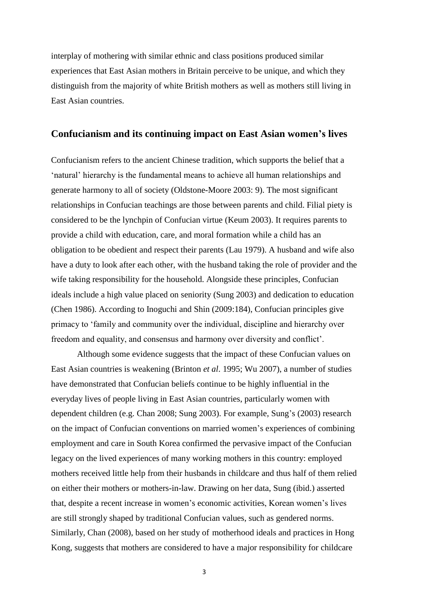interplay of mothering with similar ethnic and class positions produced similar experiences that East Asian mothers in Britain perceive to be unique, and which they distinguish from the majority of white British mothers as well as mothers still living in East Asian countries.

## **Confucianism and its continuing impact on East Asian women's lives**

Confucianism refers to the ancient Chinese tradition, which supports the belief that a 'natural' hierarchy is the fundamental means to achieve all human relationships and generate harmony to all of society (Oldstone-Moore 2003: 9). The most significant relationships in Confucian teachings are those between parents and child. Filial piety is considered to be the lynchpin of Confucian virtue (Keum 2003). It requires parents to provide a child with education, care, and moral formation while a child has an obligation to be obedient and respect their parents (Lau 1979). A husband and wife also have a duty to look after each other, with the husband taking the role of provider and the wife taking responsibility for the household. Alongside these principles, Confucian ideals include a high value placed on seniority (Sung 2003) and dedication to education (Chen 1986). According to Inoguchi and Shin (2009:184), Confucian principles give primacy to 'family and community over the individual, discipline and hierarchy over freedom and equality, and consensus and harmony over diversity and conflict'.

Although some evidence suggests that the impact of these Confucian values on East Asian countries is weakening (Brinton *et al*. 1995; Wu 2007), a number of studies have demonstrated that Confucian beliefs continue to be highly influential in the everyday lives of people living in East Asian countries, particularly women with dependent children (e.g. Chan 2008; Sung 2003). For example, Sung's (2003) research on the impact of Confucian conventions on married women's experiences of combining employment and care in South Korea confirmed the pervasive impact of the Confucian legacy on the lived experiences of many working mothers in this country: employed mothers received little help from their husbands in childcare and thus half of them relied on either their mothers or mothers-in-law. Drawing on her data, Sung (ibid.) asserted that, despite a recent increase in women's economic activities, Korean women's lives are still strongly shaped by traditional Confucian values, such as gendered norms. Similarly, Chan (2008), based on her study of motherhood ideals and practices in Hong Kong, suggests that mothers are considered to have a major responsibility for childcare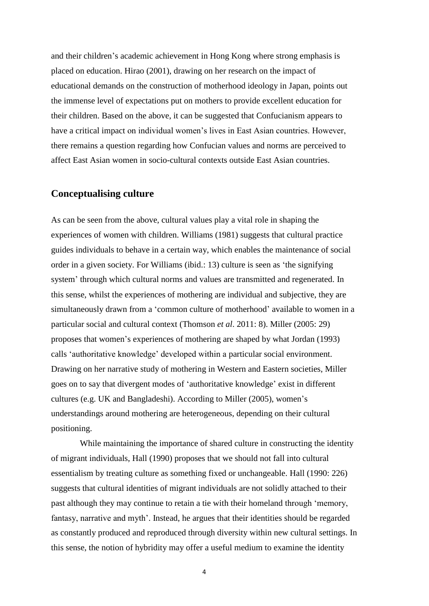and their children's academic achievement in Hong Kong where strong emphasis is placed on education. Hirao (2001), drawing on her research on the impact of educational demands on the construction of motherhood ideology in Japan, points out the immense level of expectations put on mothers to provide excellent education for their children. Based on the above, it can be suggested that Confucianism appears to have a critical impact on individual women's lives in East Asian countries. However, there remains a question regarding how Confucian values and norms are perceived to affect East Asian women in socio-cultural contexts outside East Asian countries.

#### **Conceptualising culture**

As can be seen from the above, cultural values play a vital role in shaping the experiences of women with children. Williams (1981) suggests that cultural practice guides individuals to behave in a certain way, which enables the maintenance of social order in a given society. For Williams (ibid.: 13) culture is seen as 'the signifying system' through which cultural norms and values are transmitted and regenerated. In this sense, whilst the experiences of mothering are individual and subjective, they are simultaneously drawn from a 'common culture of motherhood' available to women in a particular social and cultural context (Thomson *et al*. 2011: 8). Miller (2005: 29) proposes that women's experiences of mothering are shaped by what Jordan (1993) calls 'authoritative knowledge' developed within a particular social environment. Drawing on her narrative study of mothering in Western and Eastern societies, Miller goes on to say that divergent modes of 'authoritative knowledge' exist in different cultures (e.g. UK and Bangladeshi). According to Miller (2005), women's understandings around mothering are heterogeneous, depending on their cultural positioning.

While maintaining the importance of shared culture in constructing the identity of migrant individuals, Hall (1990) proposes that we should not fall into cultural essentialism by treating culture as something fixed or unchangeable. Hall (1990: 226) suggests that cultural identities of migrant individuals are not solidly attached to their past although they may continue to retain a tie with their homeland through 'memory, fantasy, narrative and myth'. Instead, he argues that their identities should be regarded as constantly produced and reproduced through diversity within new cultural settings. In this sense, the notion of hybridity may offer a useful medium to examine the identity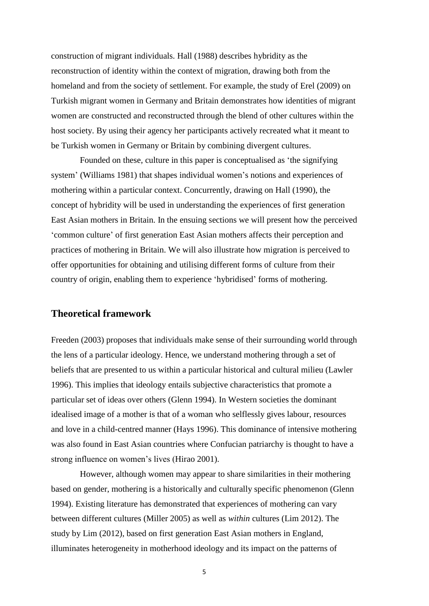construction of migrant individuals. Hall (1988) describes hybridity as the reconstruction of identity within the context of migration, drawing both from the homeland and from the society of settlement. For example, the study of Erel (2009) on Turkish migrant women in Germany and Britain demonstrates how identities of migrant women are constructed and reconstructed through the blend of other cultures within the host society. By using their agency her participants actively recreated what it meant to be Turkish women in Germany or Britain by combining divergent cultures.

Founded on these, culture in this paper is conceptualised as 'the signifying system' (Williams 1981) that shapes individual women's notions and experiences of mothering within a particular context. Concurrently, drawing on Hall (1990), the concept of hybridity will be used in understanding the experiences of first generation East Asian mothers in Britain. In the ensuing sections we will present how the perceived 'common culture' of first generation East Asian mothers affects their perception and practices of mothering in Britain. We will also illustrate how migration is perceived to offer opportunities for obtaining and utilising different forms of culture from their country of origin, enabling them to experience 'hybridised' forms of mothering.

## **Theoretical framework**

Freeden (2003) proposes that individuals make sense of their surrounding world through the lens of a particular ideology. Hence, we understand mothering through a set of beliefs that are presented to us within a particular historical and cultural milieu (Lawler 1996). This implies that ideology entails subjective characteristics that promote a particular set of ideas over others (Glenn 1994). In Western societies the dominant idealised image of a mother is that of a woman who selflessly gives labour, resources and love in a child-centred manner (Hays 1996). This dominance of intensive mothering was also found in East Asian countries where Confucian patriarchy is thought to have a strong influence on women's lives (Hirao 2001).

However, although women may appear to share similarities in their mothering based on gender, mothering is a historically and culturally specific phenomenon (Glenn 1994). Existing literature has demonstrated that experiences of mothering can vary between different cultures (Miller 2005) as well as *within* cultures (Lim 2012). The study by Lim (2012), based on first generation East Asian mothers in England, illuminates heterogeneity in motherhood ideology and its impact on the patterns of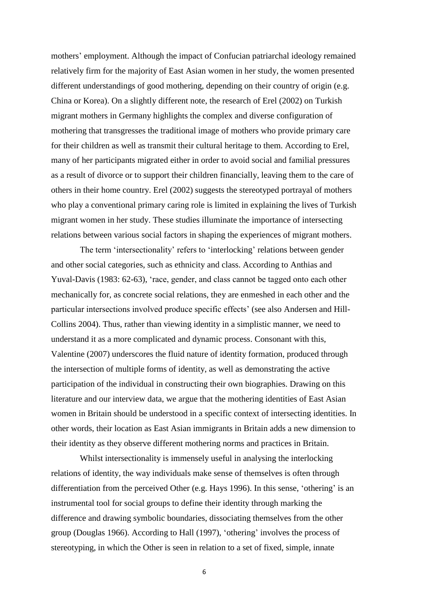mothers' employment. Although the impact of Confucian patriarchal ideology remained relatively firm for the majority of East Asian women in her study, the women presented different understandings of good mothering, depending on their country of origin (e.g. China or Korea). On a slightly different note, the research of Erel (2002) on Turkish migrant mothers in Germany highlights the complex and diverse configuration of mothering that transgresses the traditional image of mothers who provide primary care for their children as well as transmit their cultural heritage to them. According to Erel, many of her participants migrated either in order to avoid social and familial pressures as a result of divorce or to support their children financially, leaving them to the care of others in their home country. Erel (2002) suggests the stereotyped portrayal of mothers who play a conventional primary caring role is limited in explaining the lives of Turkish migrant women in her study. These studies illuminate the importance of intersecting relations between various social factors in shaping the experiences of migrant mothers.

The term 'intersectionality' refers to 'interlocking' relations between gender and other social categories, such as ethnicity and class. According to Anthias and Yuval-Davis (1983: 62-63), 'race, gender, and class cannot be tagged onto each other mechanically for, as concrete social relations, they are enmeshed in each other and the particular intersections involved produce specific effects' (see also Andersen and Hill-Collins 2004). Thus, rather than viewing identity in a simplistic manner, we need to understand it as a more complicated and dynamic process. Consonant with this, Valentine (2007) underscores the fluid nature of identity formation, produced through the intersection of multiple forms of identity, as well as demonstrating the active participation of the individual in constructing their own biographies. Drawing on this literature and our interview data, we argue that the mothering identities of East Asian women in Britain should be understood in a specific context of intersecting identities. In other words, their location as East Asian immigrants in Britain adds a new dimension to their identity as they observe different mothering norms and practices in Britain.

Whilst intersectionality is immensely useful in analysing the interlocking relations of identity, the way individuals make sense of themselves is often through differentiation from the perceived Other (e.g. Hays 1996). In this sense, 'othering' is an instrumental tool for social groups to define their identity through marking the difference and drawing symbolic boundaries, dissociating themselves from the other group (Douglas 1966). According to Hall (1997), 'othering' involves the process of stereotyping, in which the Other is seen in relation to a set of fixed, simple, innate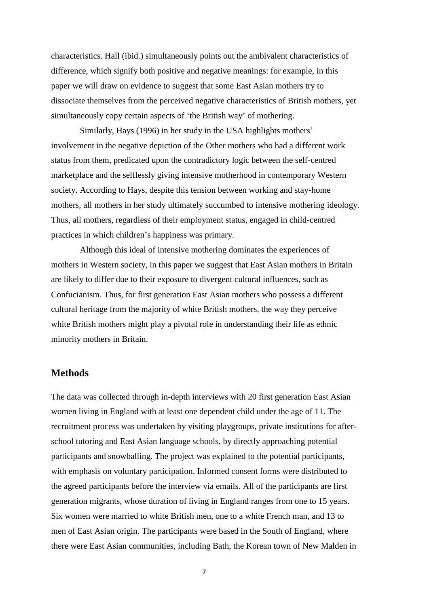characteristics. Hall (ibid.) simultaneously points out the ambivalent characteristics of difference, which signify both positive and negative meanings: for example, in this paper we will draw on evidence to suggest that some East Asian mothers try to dissociate themselves from the perceived negative characteristics of British mothers, yet simultaneously copy certain aspects of 'the British way' of mothering.

Similarly, Hays (1996) in her study in the USA highlights mothers' involvement in the negative depiction of the Other mothers who had a different work status from them, predicated upon the contradictory logic between the self-centred marketplace and the selflessly giving intensive motherhood in contemporary Western society. According to Hays, despite this tension between working and stay-home mothers, all mothers in her study ultimately succumbed to intensive mothering ideology. Thus, all mothers, regardless of their employment status, engaged in child-centred practices in which children's happiness was primary.

Although this ideal of intensive mothering dominates the experiences of mothers in Western society, in this paper we suggest that East Asian mothers in Britain are likely to differ due to their exposure to divergent cultural influences, such as Confucianism. Thus, for first generation East Asian mothers who possess a different cultural heritage from the majority of white British mothers, the way they perceive white British mothers might play a pivotal role in understanding their life as ethnic minority mothers in Britain.

#### **Methods**

The data was collected through in-depth interviews with 20 first generation East Asian women living in England with at least one dependent child under the age of 11. The recruitment process was undertaken by visiting playgroups, private institutions for afterschool tutoring and East Asian language schools, by directly approaching potential participants and snowballing. The project was explained to the potential participants, with emphasis on voluntary participation. Informed consent forms were distributed to the agreed participants before the interview via emails. All of the participants are first generation migrants, whose duration of living in England ranges from one to 15 years. Six women were married to white British men, one to a white French man, and 13 to men of East Asian origin. The participants were based in the South of England, where there were East Asian communities, including Bath, the Korean town of New Malden in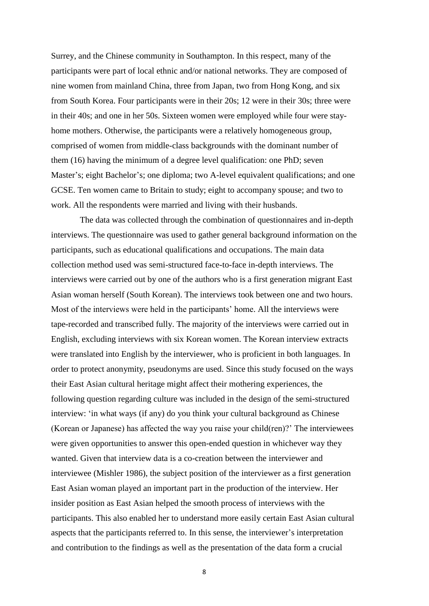Surrey, and the Chinese community in Southampton. In this respect, many of the participants were part of local ethnic and/or national networks. They are composed of nine women from mainland China, three from Japan, two from Hong Kong, and six from South Korea. Four participants were in their 20s; 12 were in their 30s; three were in their 40s; and one in her 50s. Sixteen women were employed while four were stayhome mothers. Otherwise, the participants were a relatively homogeneous group, comprised of women from middle-class backgrounds with the dominant number of them (16) having the minimum of a degree level qualification: one PhD; seven Master's; eight Bachelor's; one diploma; two A-level equivalent qualifications; and one GCSE. Ten women came to Britain to study; eight to accompany spouse; and two to work. All the respondents were married and living with their husbands.

The data was collected through the combination of questionnaires and in-depth interviews. The questionnaire was used to gather general background information on the participants, such as educational qualifications and occupations. The main data collection method used was semi-structured face-to-face in-depth interviews. The interviews were carried out by one of the authors who is a first generation migrant East Asian woman herself (South Korean). The interviews took between one and two hours. Most of the interviews were held in the participants' home. All the interviews were tape-recorded and transcribed fully. The majority of the interviews were carried out in English, excluding interviews with six Korean women. The Korean interview extracts were translated into English by the interviewer, who is proficient in both languages. In order to protect anonymity, pseudonyms are used. Since this study focused on the ways their East Asian cultural heritage might affect their mothering experiences, the following question regarding culture was included in the design of the semi-structured interview: 'in what ways (if any) do you think your cultural background as Chinese (Korean or Japanese) has affected the way you raise your child(ren)?' The interviewees were given opportunities to answer this open-ended question in whichever way they wanted. Given that interview data is a co-creation between the interviewer and interviewee (Mishler 1986), the subject position of the interviewer as a first generation East Asian woman played an important part in the production of the interview. Her insider position as East Asian helped the smooth process of interviews with the participants. This also enabled her to understand more easily certain East Asian cultural aspects that the participants referred to. In this sense, the interviewer's interpretation and contribution to the findings as well as the presentation of the data form a crucial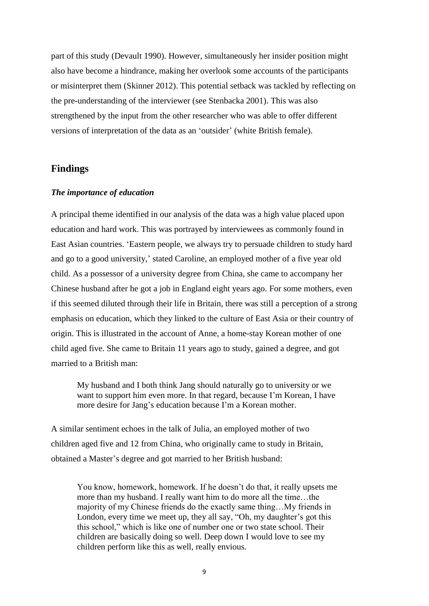part of this study (Devault 1990). However, simultaneously her insider position might also have become a hindrance, making her overlook some accounts of the participants or misinterpret them (Skinner 2012). This potential setback was tackled by reflecting on the pre-understanding of the interviewer (see Stenbacka 2001). This was also strengthened by the input from the other researcher who was able to offer different versions of interpretation of the data as an 'outsider' (white British female).

## **Findings**

#### *The importance of education*

A principal theme identified in our analysis of the data was a high value placed upon education and hard work. This was portrayed by interviewees as commonly found in East Asian countries. 'Eastern people, we always try to persuade children to study hard and go to a good university,' stated Caroline, an employed mother of a five year old child. As a possessor of a university degree from China, she came to accompany her Chinese husband after he got a job in England eight years ago. For some mothers, even if this seemed diluted through their life in Britain, there was still a perception of a strong emphasis on education, which they linked to the culture of East Asia or their country of origin. This is illustrated in the account of Anne, a home-stay Korean mother of one child aged five. She came to Britain 11 years ago to study, gained a degree, and got married to a British man:

My husband and I both think Jang should naturally go to university or we want to support him even more. In that regard, because I'm Korean, I have more desire for Jang's education because I'm a Korean mother.

A similar sentiment echoes in the talk of Julia, an employed mother of two children aged five and 12 from China, who originally came to study in Britain, obtained a Master's degree and got married to her British husband:

You know, homework, homework. If he doesn't do that, it really upsets me more than my husband. I really want him to do more all the time…the majority of my Chinese friends do the exactly same thing…My friends in London, every time we meet up, they all say, "Oh, my daughter's got this this school," which is like one of number one or two state school. Their children are basically doing so well. Deep down I would love to see my children perform like this as well, really envious.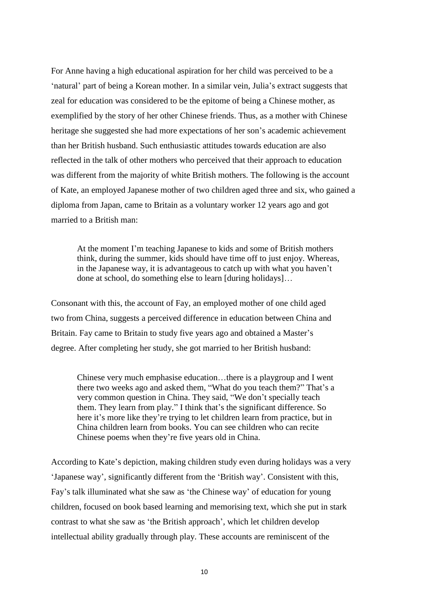For Anne having a high educational aspiration for her child was perceived to be a 'natural' part of being a Korean mother. In a similar vein, Julia's extract suggests that zeal for education was considered to be the epitome of being a Chinese mother, as exemplified by the story of her other Chinese friends. Thus, as a mother with Chinese heritage she suggested she had more expectations of her son's academic achievement than her British husband. Such enthusiastic attitudes towards education are also reflected in the talk of other mothers who perceived that their approach to education was different from the majority of white British mothers. The following is the account of Kate, an employed Japanese mother of two children aged three and six, who gained a diploma from Japan, came to Britain as a voluntary worker 12 years ago and got married to a British man:

At the moment I'm teaching Japanese to kids and some of British mothers think, during the summer, kids should have time off to just enjoy. Whereas, in the Japanese way, it is advantageous to catch up with what you haven't done at school, do something else to learn [during holidays]…

Consonant with this, the account of Fay, an employed mother of one child aged two from China, suggests a perceived difference in education between China and Britain. Fay came to Britain to study five years ago and obtained a Master's degree. After completing her study, she got married to her British husband:

Chinese very much emphasise education…there is a playgroup and I went there two weeks ago and asked them, "What do you teach them?" That's a very common question in China. They said, "We don't specially teach them. They learn from play." I think that's the significant difference. So here it's more like they're trying to let children learn from practice, but in China children learn from books. You can see children who can recite Chinese poems when they're five years old in China.

According to Kate's depiction, making children study even during holidays was a very 'Japanese way', significantly different from the 'British way'. Consistent with this, Fay's talk illuminated what she saw as 'the Chinese way' of education for young children, focused on book based learning and memorising text, which she put in stark contrast to what she saw as 'the British approach', which let children develop intellectual ability gradually through play. These accounts are reminiscent of the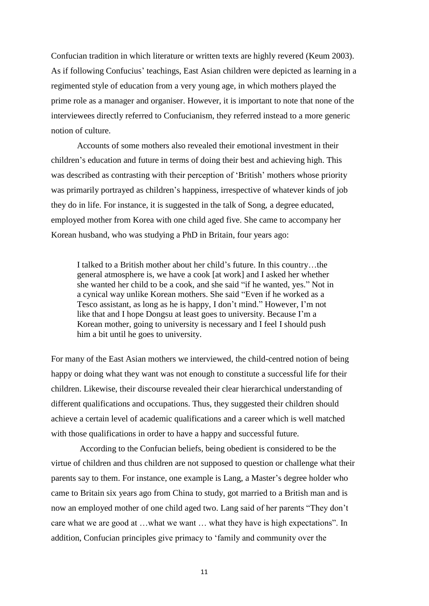Confucian tradition in which literature or written texts are highly revered (Keum 2003). As if following Confucius' teachings, East Asian children were depicted as learning in a regimented style of education from a very young age, in which mothers played the prime role as a manager and organiser. However, it is important to note that none of the interviewees directly referred to Confucianism, they referred instead to a more generic notion of culture.

Accounts of some mothers also revealed their emotional investment in their children's education and future in terms of doing their best and achieving high. This was described as contrasting with their perception of 'British' mothers whose priority was primarily portrayed as children's happiness, irrespective of whatever kinds of job they do in life. For instance, it is suggested in the talk of Song, a degree educated, employed mother from Korea with one child aged five. She came to accompany her Korean husband, who was studying a PhD in Britain, four years ago:

I talked to a British mother about her child's future. In this country…the general atmosphere is, we have a cook [at work] and I asked her whether she wanted her child to be a cook, and she said "if he wanted, yes." Not in a cynical way unlike Korean mothers. She said "Even if he worked as a Tesco assistant, as long as he is happy, I don't mind." However, I'm not like that and I hope Dongsu at least goes to university. Because I'm a Korean mother, going to university is necessary and I feel I should push him a bit until he goes to university.

For many of the East Asian mothers we interviewed, the child-centred notion of being happy or doing what they want was not enough to constitute a successful life for their children. Likewise, their discourse revealed their clear hierarchical understanding of different qualifications and occupations. Thus, they suggested their children should achieve a certain level of academic qualifications and a career which is well matched with those qualifications in order to have a happy and successful future.

According to the Confucian beliefs, being obedient is considered to be the virtue of children and thus children are not supposed to question or challenge what their parents say to them. For instance, one example is Lang, a Master's degree holder who came to Britain six years ago from China to study, got married to a British man and is now an employed mother of one child aged two. Lang said of her parents "They don't care what we are good at …what we want … what they have is high expectations". In addition, Confucian principles give primacy to 'family and community over the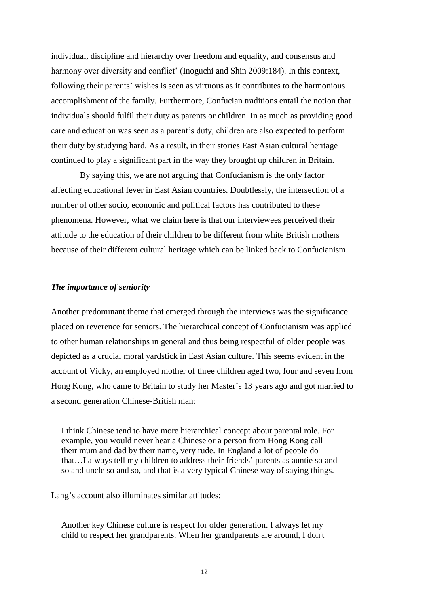individual, discipline and hierarchy over freedom and equality, and consensus and harmony over diversity and conflict' (Inoguchi and Shin 2009:184). In this context, following their parents' wishes is seen as virtuous as it contributes to the harmonious accomplishment of the family. Furthermore, Confucian traditions entail the notion that individuals should fulfil their duty as parents or children. In as much as providing good care and education was seen as a parent's duty, children are also expected to perform their duty by studying hard. As a result, in their stories East Asian cultural heritage continued to play a significant part in the way they brought up children in Britain.

By saying this, we are not arguing that Confucianism is the only factor affecting educational fever in East Asian countries. Doubtlessly, the intersection of a number of other socio, economic and political factors has contributed to these phenomena. However, what we claim here is that our interviewees perceived their attitude to the education of their children to be different from white British mothers because of their different cultural heritage which can be linked back to Confucianism.

#### *The importance of seniority*

Another predominant theme that emerged through the interviews was the significance placed on reverence for seniors. The hierarchical concept of Confucianism was applied to other human relationships in general and thus being respectful of older people was depicted as a crucial moral yardstick in East Asian culture. This seems evident in the account of Vicky, an employed mother of three children aged two, four and seven from Hong Kong, who came to Britain to study her Master's 13 years ago and got married to a second generation Chinese-British man:

I think Chinese tend to have more hierarchical concept about parental role. For example, you would never hear a Chinese or a person from Hong Kong call their mum and dad by their name, very rude. In England a lot of people do that…I always tell my children to address their friends' parents as auntie so and so and uncle so and so, and that is a very typical Chinese way of saying things.

Lang's account also illuminates similar attitudes:

Another key Chinese culture is respect for older generation. I always let my child to respect her grandparents. When her grandparents are around, I don't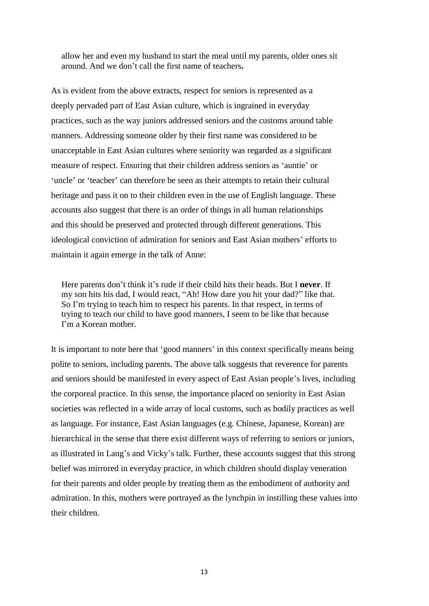allow her and even my husband to start the meal until my parents, older ones sit around. And we don't call the first name of teachers**.**

As is evident from the above extracts, respect for seniors is represented as a deeply pervaded part of East Asian culture, which is ingrained in everyday practices, such as the way juniors addressed seniors and the customs around table manners. Addressing someone older by their first name was considered to be unacceptable in East Asian cultures where seniority was regarded as a significant measure of respect. Ensuring that their children address seniors as 'auntie' or 'uncle' or 'teacher' can therefore be seen as their attempts to retain their cultural heritage and pass it on to their children even in the use of English language. These accounts also suggest that there is an order of things in all human relationships and this should be preserved and protected through different generations. This ideological conviction of admiration for seniors and East Asian mothers' efforts to maintain it again emerge in the talk of Anne:

Here parents don't think it's rude if their child hits their heads. But I **never**. If my son hits his dad, I would react, "Ah! How dare you hit your dad?" like that. So I'm trying to teach him to respect his parents. In that respect, in terms of trying to teach our child to have good manners, I seem to be like that because I'm a Korean mother.

It is important to note here that 'good manners' in this context specifically means being polite to seniors, including parents. The above talk suggests that reverence for parents and seniors should be manifested in every aspect of East Asian people's lives, including the corporeal practice. In this sense, the importance placed on seniority in East Asian societies was reflected in a wide array of local customs, such as bodily practices as well as language. For instance, East Asian languages (e.g. Chinese, Japanese, Korean) are hierarchical in the sense that there exist different ways of referring to seniors or juniors, as illustrated in Lang's and Vicky's talk. Further, these accounts suggest that this strong belief was mirrored in everyday practice, in which children should display veneration for their parents and older people by treating them as the embodiment of authority and admiration. In this, mothers were portrayed as the lynchpin in instilling these values into their children.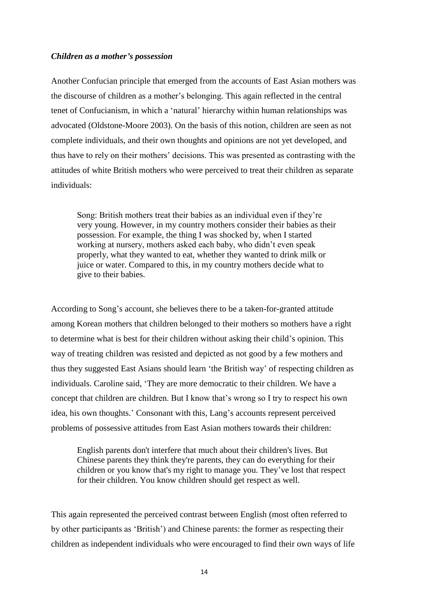#### *Children as a mother's possession*

Another Confucian principle that emerged from the accounts of East Asian mothers was the discourse of children as a mother's belonging. This again reflected in the central tenet of Confucianism, in which a 'natural' hierarchy within human relationships was advocated (Oldstone-Moore 2003). On the basis of this notion, children are seen as not complete individuals, and their own thoughts and opinions are not yet developed, and thus have to rely on their mothers' decisions. This was presented as contrasting with the attitudes of white British mothers who were perceived to treat their children as separate individuals:

Song: British mothers treat their babies as an individual even if they're very young. However, in my country mothers consider their babies as their possession. For example, the thing I was shocked by, when I started working at nursery, mothers asked each baby, who didn't even speak properly, what they wanted to eat, whether they wanted to drink milk or juice or water. Compared to this, in my country mothers decide what to give to their babies.

According to Song's account, she believes there to be a taken-for-granted attitude among Korean mothers that children belonged to their mothers so mothers have a right to determine what is best for their children without asking their child's opinion. This way of treating children was resisted and depicted as not good by a few mothers and thus they suggested East Asians should learn 'the British way' of respecting children as individuals. Caroline said, 'They are more democratic to their children. We have a concept that children are children. But I know that's wrong so I try to respect his own idea, his own thoughts.' Consonant with this, Lang's accounts represent perceived problems of possessive attitudes from East Asian mothers towards their children:

English parents don't interfere that much about their children's lives. But Chinese parents they think they're parents, they can do everything for their children or you know that's my right to manage you. They've lost that respect for their children. You know children should get respect as well.

This again represented the perceived contrast between English (most often referred to by other participants as 'British') and Chinese parents: the former as respecting their children as independent individuals who were encouraged to find their own ways of life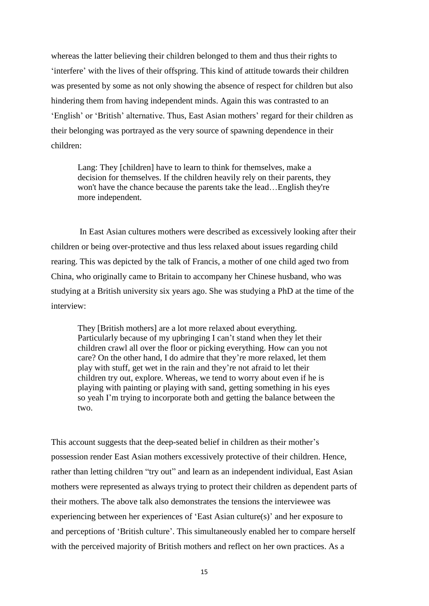whereas the latter believing their children belonged to them and thus their rights to 'interfere' with the lives of their offspring. This kind of attitude towards their children was presented by some as not only showing the absence of respect for children but also hindering them from having independent minds. Again this was contrasted to an 'English' or 'British' alternative. Thus, East Asian mothers' regard for their children as their belonging was portrayed as the very source of spawning dependence in their children:

Lang: They [children] have to learn to think for themselves, make a decision for themselves. If the children heavily rely on their parents, they won't have the chance because the parents take the lead…English they're more independent.

In East Asian cultures mothers were described as excessively looking after their children or being over-protective and thus less relaxed about issues regarding child rearing. This was depicted by the talk of Francis, a mother of one child aged two from China, who originally came to Britain to accompany her Chinese husband, who was studying at a British university six years ago. She was studying a PhD at the time of the interview:

They [British mothers] are a lot more relaxed about everything. Particularly because of my upbringing I can't stand when they let their children crawl all over the floor or picking everything. How can you not care? On the other hand, I do admire that they're more relaxed, let them play with stuff, get wet in the rain and they're not afraid to let their children try out, explore. Whereas, we tend to worry about even if he is playing with painting or playing with sand, getting something in his eyes so yeah I'm trying to incorporate both and getting the balance between the two.

This account suggests that the deep-seated belief in children as their mother's possession render East Asian mothers excessively protective of their children. Hence, rather than letting children "try out" and learn as an independent individual, East Asian mothers were represented as always trying to protect their children as dependent parts of their mothers. The above talk also demonstrates the tensions the interviewee was experiencing between her experiences of 'East Asian culture(s)' and her exposure to and perceptions of 'British culture'. This simultaneously enabled her to compare herself with the perceived majority of British mothers and reflect on her own practices. As a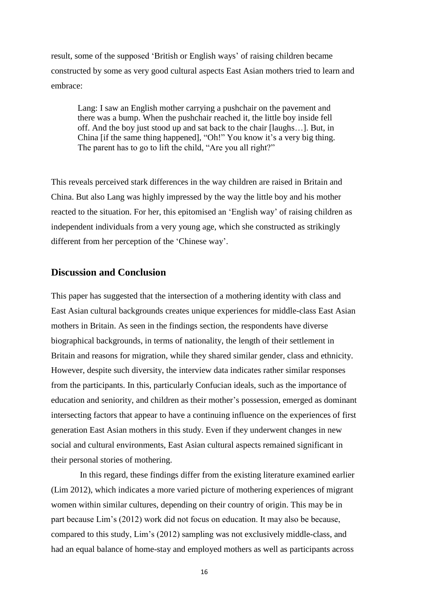result, some of the supposed 'British or English ways' of raising children became constructed by some as very good cultural aspects East Asian mothers tried to learn and embrace:

Lang: I saw an English mother carrying a pushchair on the pavement and there was a bump. When the pushchair reached it, the little boy inside fell off. And the boy just stood up and sat back to the chair [laughs…]. But, in China [if the same thing happened], "Oh!" You know it's a very big thing. The parent has to go to lift the child, "Are you all right?"

This reveals perceived stark differences in the way children are raised in Britain and China. But also Lang was highly impressed by the way the little boy and his mother reacted to the situation. For her, this epitomised an 'English way' of raising children as independent individuals from a very young age, which she constructed as strikingly different from her perception of the 'Chinese way'.

## **Discussion and Conclusion**

This paper has suggested that the intersection of a mothering identity with class and East Asian cultural backgrounds creates unique experiences for middle-class East Asian mothers in Britain. As seen in the findings section, the respondents have diverse biographical backgrounds, in terms of nationality, the length of their settlement in Britain and reasons for migration, while they shared similar gender, class and ethnicity. However, despite such diversity, the interview data indicates rather similar responses from the participants. In this, particularly Confucian ideals, such as the importance of education and seniority, and children as their mother's possession, emerged as dominant intersecting factors that appear to have a continuing influence on the experiences of first generation East Asian mothers in this study. Even if they underwent changes in new social and cultural environments, East Asian cultural aspects remained significant in their personal stories of mothering.

In this regard, these findings differ from the existing literature examined earlier (Lim 2012), which indicates a more varied picture of mothering experiences of migrant women within similar cultures, depending on their country of origin. This may be in part because Lim's (2012) work did not focus on education. It may also be because, compared to this study, Lim's (2012) sampling was not exclusively middle-class, and had an equal balance of home-stay and employed mothers as well as participants across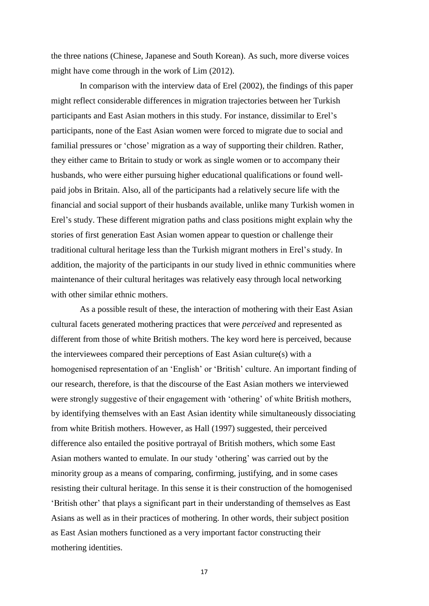the three nations (Chinese, Japanese and South Korean). As such, more diverse voices might have come through in the work of Lim (2012).

In comparison with the interview data of Erel (2002), the findings of this paper might reflect considerable differences in migration trajectories between her Turkish participants and East Asian mothers in this study. For instance, dissimilar to Erel's participants, none of the East Asian women were forced to migrate due to social and familial pressures or 'chose' migration as a way of supporting their children. Rather, they either came to Britain to study or work as single women or to accompany their husbands, who were either pursuing higher educational qualifications or found wellpaid jobs in Britain. Also, all of the participants had a relatively secure life with the financial and social support of their husbands available, unlike many Turkish women in Erel's study. These different migration paths and class positions might explain why the stories of first generation East Asian women appear to question or challenge their traditional cultural heritage less than the Turkish migrant mothers in Erel's study. In addition, the majority of the participants in our study lived in ethnic communities where maintenance of their cultural heritages was relatively easy through local networking with other similar ethnic mothers.

As a possible result of these, the interaction of mothering with their East Asian cultural facets generated mothering practices that were *perceived* and represented as different from those of white British mothers. The key word here is perceived, because the interviewees compared their perceptions of East Asian culture(s) with a homogenised representation of an 'English' or 'British' culture. An important finding of our research, therefore, is that the discourse of the East Asian mothers we interviewed were strongly suggestive of their engagement with 'othering' of white British mothers, by identifying themselves with an East Asian identity while simultaneously dissociating from white British mothers. However, as Hall (1997) suggested, their perceived difference also entailed the positive portrayal of British mothers, which some East Asian mothers wanted to emulate. In our study 'othering' was carried out by the minority group as a means of comparing, confirming, justifying, and in some cases resisting their cultural heritage. In this sense it is their construction of the homogenised 'British other' that plays a significant part in their understanding of themselves as East Asians as well as in their practices of mothering. In other words, their subject position as East Asian mothers functioned as a very important factor constructing their mothering identities.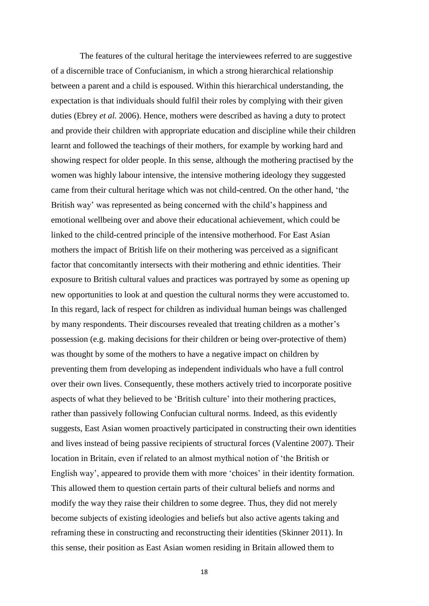The features of the cultural heritage the interviewees referred to are suggestive of a discernible trace of Confucianism, in which a strong hierarchical relationship between a parent and a child is espoused. Within this hierarchical understanding, the expectation is that individuals should fulfil their roles by complying with their given duties (Ebrey *et al.* 2006). Hence, mothers were described as having a duty to protect and provide their children with appropriate education and discipline while their children learnt and followed the teachings of their mothers, for example by working hard and showing respect for older people. In this sense, although the mothering practised by the women was highly labour intensive, the intensive mothering ideology they suggested came from their cultural heritage which was not child-centred. On the other hand, 'the British way' was represented as being concerned with the child's happiness and emotional wellbeing over and above their educational achievement, which could be linked to the child-centred principle of the intensive motherhood. For East Asian mothers the impact of British life on their mothering was perceived as a significant factor that concomitantly intersects with their mothering and ethnic identities. Their exposure to British cultural values and practices was portrayed by some as opening up new opportunities to look at and question the cultural norms they were accustomed to. In this regard, lack of respect for children as individual human beings was challenged by many respondents. Their discourses revealed that treating children as a mother's possession (e.g. making decisions for their children or being over-protective of them) was thought by some of the mothers to have a negative impact on children by preventing them from developing as independent individuals who have a full control over their own lives. Consequently, these mothers actively tried to incorporate positive aspects of what they believed to be 'British culture' into their mothering practices, rather than passively following Confucian cultural norms. Indeed, as this evidently suggests, East Asian women proactively participated in constructing their own identities and lives instead of being passive recipients of structural forces (Valentine 2007). Their location in Britain, even if related to an almost mythical notion of 'the British or English way', appeared to provide them with more 'choices' in their identity formation. This allowed them to question certain parts of their cultural beliefs and norms and modify the way they raise their children to some degree. Thus, they did not merely become subjects of existing ideologies and beliefs but also active agents taking and reframing these in constructing and reconstructing their identities (Skinner 2011). In this sense, their position as East Asian women residing in Britain allowed them to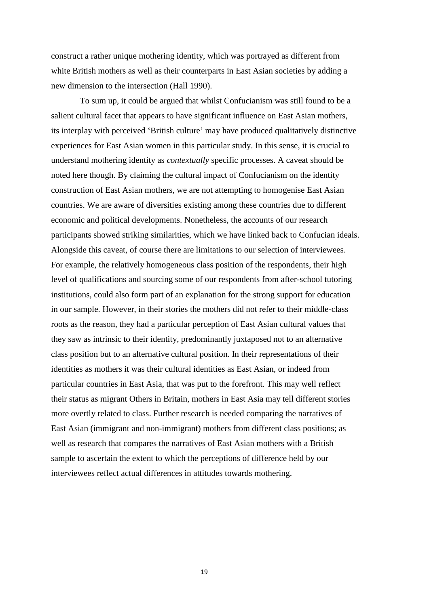construct a rather unique mothering identity, which was portrayed as different from white British mothers as well as their counterparts in East Asian societies by adding a new dimension to the intersection (Hall 1990).

To sum up, it could be argued that whilst Confucianism was still found to be a salient cultural facet that appears to have significant influence on East Asian mothers, its interplay with perceived 'British culture' may have produced qualitatively distinctive experiences for East Asian women in this particular study. In this sense, it is crucial to understand mothering identity as *contextually* specific processes. A caveat should be noted here though. By claiming the cultural impact of Confucianism on the identity construction of East Asian mothers, we are not attempting to homogenise East Asian countries. We are aware of diversities existing among these countries due to different economic and political developments. Nonetheless, the accounts of our research participants showed striking similarities, which we have linked back to Confucian ideals. Alongside this caveat, of course there are limitations to our selection of interviewees. For example, the relatively homogeneous class position of the respondents, their high level of qualifications and sourcing some of our respondents from after-school tutoring institutions, could also form part of an explanation for the strong support for education in our sample. However, in their stories the mothers did not refer to their middle-class roots as the reason, they had a particular perception of East Asian cultural values that they saw as intrinsic to their identity, predominantly juxtaposed not to an alternative class position but to an alternative cultural position. In their representations of their identities as mothers it was their cultural identities as East Asian, or indeed from particular countries in East Asia, that was put to the forefront. This may well reflect their status as migrant Others in Britain, mothers in East Asia may tell different stories more overtly related to class. Further research is needed comparing the narratives of East Asian (immigrant and non-immigrant) mothers from different class positions; as well as research that compares the narratives of East Asian mothers with a British sample to ascertain the extent to which the perceptions of difference held by our interviewees reflect actual differences in attitudes towards mothering.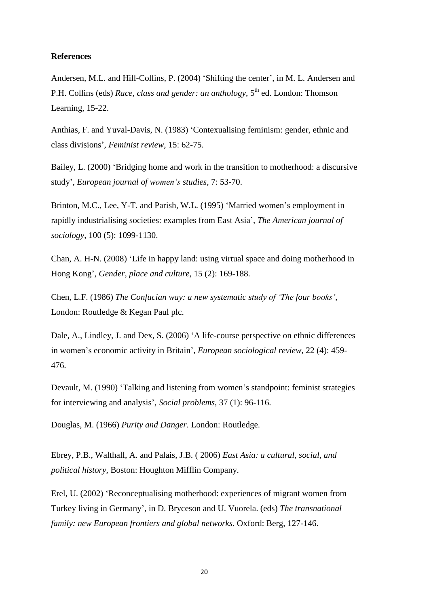#### **References**

Andersen, M.L. and Hill-Collins, P. (2004) 'Shifting the center', in M. L. Andersen and P.H. Collins (eds) *Race, class and gender: an anthology*, 5<sup>th</sup> ed. London: Thomson Learning, 15-22.

Anthias, F. and Yuval-Davis, N. (1983) 'Contexualising feminism: gender, ethnic and class divisions', *Feminist review*, 15: 62-75.

Bailey, L. (2000) 'Bridging home and work in the transition to motherhood: a discursive study', *European journal of women's studies*, 7: 53-70.

Brinton, M.C., Lee, Y-T. and Parish, W.L. (1995) 'Married women's employment in rapidly industrialising societies: examples from East Asia', *The American journal of sociology*, 100 (5): 1099-1130.

Chan, A. H-N. (2008) 'Life in happy land: using virtual space and doing motherhood in Hong Kong', *Gender, place and culture*, 15 (2): 169-188.

Chen, L.F. (1986) *The Confucian way: a new systematic study of 'The four books'*, London: Routledge & Kegan Paul plc.

Dale, A., Lindley, J. and Dex, S. (2006) 'A life-course perspective on ethnic differences in women's economic activity in Britain', *European sociological review*, 22 (4): 459- 476.

Devault, M. (1990) 'Talking and listening from women's standpoint: feminist strategies for interviewing and analysis', *Social problems*, 37 (1): 96-116.

Douglas, M. (1966) *Purity and Danger*. London: Routledge.

Ebrey, P.B., Walthall, A. and Palais, J.B. ( 2006) *East Asia: a cultural, social, and political history*, Boston: Houghton Mifflin Company.

Erel, U. (2002) 'Reconceptualising motherhood: experiences of migrant women from Turkey living in Germany', in D. Bryceson and U. Vuorela. (eds) *The transnational family: new European frontiers and global networks*. Oxford: Berg, 127-146.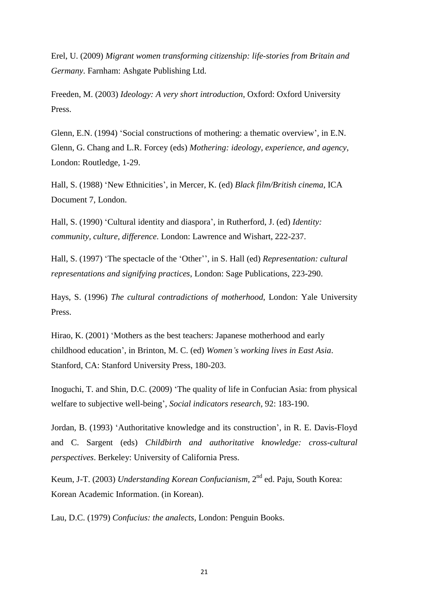Erel, U. (2009) *Migrant women transforming citizenship: life-stories from Britain and Germany*. Farnham: Ashgate Publishing Ltd.

Freeden, M. (2003) *Ideology: A very short introduction*, Oxford: Oxford University Press.

Glenn, E.N. (1994) 'Social constructions of mothering: a thematic overview', in E.N. Glenn, G. Chang and L.R. Forcey (eds) *Mothering: ideology, experience, and agency*, London: Routledge, 1-29.

Hall, S. (1988) 'New Ethnicities', in Mercer, K. (ed) *Black film/British cinema*, ICA Document 7, London.

Hall, S. (1990) 'Cultural identity and diaspora', in Rutherford, J. (ed) *Identity: community, culture, difference*. London: Lawrence and Wishart, 222-237.

Hall, S. (1997) 'The spectacle of the 'Other'', in S. Hall (ed) *Representation: cultural representations and signifying practices*, London: Sage Publications, 223-290.

Hays, S. (1996) *The cultural contradictions of motherhood*, London: Yale University Press.

Hirao, K. (2001) 'Mothers as the best teachers: Japanese motherhood and early childhood education', in Brinton, M. C. (ed) *Women's working lives in East Asia*. Stanford, CA: Stanford University Press, 180-203.

Inoguchi, T. and Shin, D.C. (2009) 'The quality of life in Confucian Asia: from physical welfare to subjective well-being', *Social indicators research*, 92: 183-190.

Jordan, B. (1993) 'Authoritative knowledge and its construction', in R. E. Davis-Floyd and C. Sargent (eds) *Childbirth and authoritative knowledge: cross-cultural perspectives*. Berkeley: University of California Press.

Keum, J-T. (2003) *Understanding Korean Confucianism*, 2<sup>nd</sup> ed. Paju, South Korea: Korean Academic Information. (in Korean).

Lau, D.C. (1979) *Confucius: the analects*, London: Penguin Books.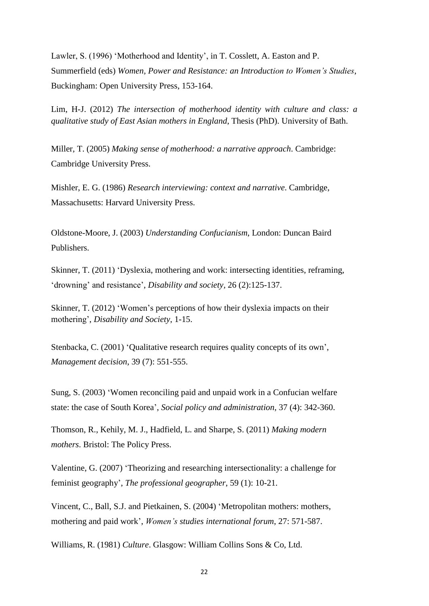Lawler, S. (1996) 'Motherhood and Identity', in T. Cosslett, A. Easton and P. Summerfield (eds) *Women, Power and Resistance: an Introduction to Women's Studies*, Buckingham: Open University Press, 153-164.

Lim, H-J. (2012) *The intersection of motherhood identity with culture and class: a qualitative study of East Asian mothers in England*, Thesis (PhD). University of Bath.

Miller, T. (2005) *Making sense of motherhood: a narrative approach*. Cambridge: Cambridge University Press.

Mishler, E. G. (1986) *Research interviewing: context and narrative*. Cambridge, Massachusetts: Harvard University Press.

Oldstone-Moore, J. (2003) *Understanding Confucianism*, London: Duncan Baird Publishers.

Skinner, T. (2011) 'Dyslexia, mothering and work: intersecting identities, reframing, 'drowning' and resistance', *Disability and society,* 26 (2):125-137.

Skinner, T. (2012) 'Women's perceptions of how their dyslexia impacts on their mothering', *Disability and Society*, 1-15.

Stenbacka, C. (2001) 'Qualitative research requires quality concepts of its own', *Management decision*, 39 (7): 551-555.

Sung, S. (2003) 'Women reconciling paid and unpaid work in a Confucian welfare state: the case of South Korea', *Social policy and administration*, 37 (4): 342-360.

Thomson, R., Kehily, M. J., Hadfield, L. and Sharpe, S. (2011) *Making modern mothers*. Bristol: The Policy Press.

Valentine, G. (2007) 'Theorizing and researching intersectionality: a challenge for feminist geography', *The professional geographer*, 59 (1): 10-21.

Vincent, C., Ball, S.J. and Pietkainen, S. (2004) 'Metropolitan mothers: mothers, mothering and paid work', *Women's studies international forum*, 27: 571-587.

Williams, R. (1981) *Culture*. Glasgow: William Collins Sons & Co, Ltd.